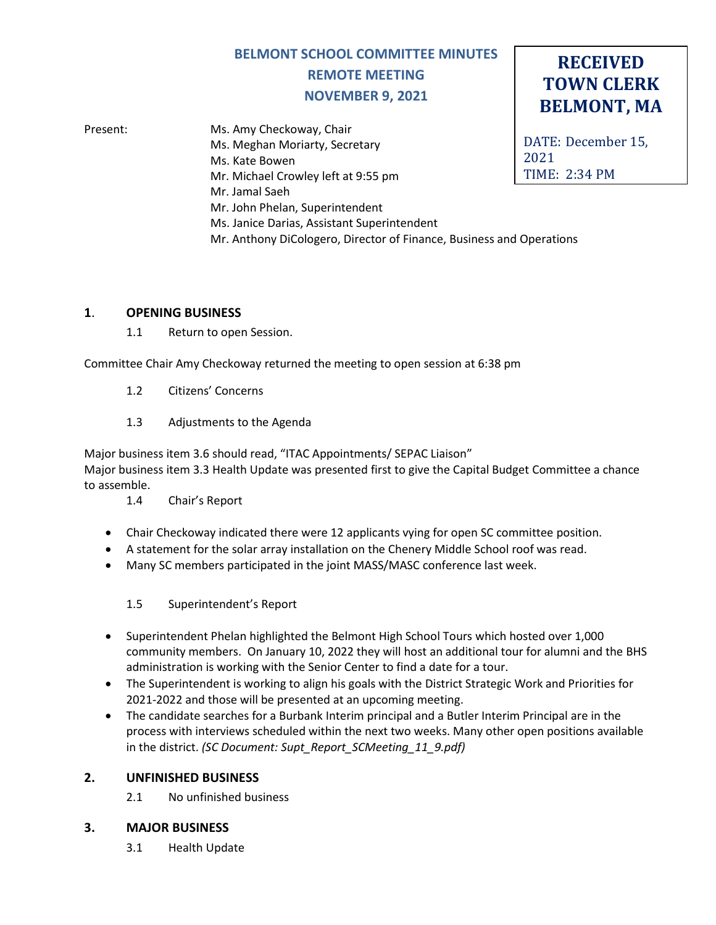# **BELMONT SCHOOL COMMITTEE MINUTES REMOTE MEETING NOVEMBER 9, 2021**

**RECEIVED TOWN CLERK**

**BELMONT, MA**

DATE: December 15, 2021 TIME: 2:34 PM Present: Ms. Amy Checkoway, Chair Ms. Meghan Moriarty, Secretary Ms. Kate Bowen Mr. Michael Crowley left at 9:55 pm Mr. Jamal Saeh Mr. John Phelan, Superintendent Ms. Janice Darias, Assistant Superintendent Mr. Anthony DiCologero, Director of Finance, Business and Operations

## **1**. **OPENING BUSINESS**

1.1 Return to open Session.

Committee Chair Amy Checkoway returned the meeting to open session at 6:38 pm

- 1.2 Citizens' Concerns
- 1.3 Adjustments to the Agenda

Major business item 3.6 should read, "ITAC Appointments/ SEPAC Liaison" Major business item 3.3 Health Update was presented first to give the Capital Budget Committee a chance to assemble.

- 1.4 Chair's Report
- Chair Checkoway indicated there were 12 applicants vying for open SC committee position.
- A statement for the solar array installation on the Chenery Middle School roof was read.
- Many SC members participated in the joint MASS/MASC conference last week.

## 1.5 Superintendent's Report

- Superintendent Phelan highlighted the Belmont High School Tours which hosted over 1,000 community members. On January 10, 2022 they will host an additional tour for alumni and the BHS administration is working with the Senior Center to find a date for a tour.
- The Superintendent is working to align his goals with the District Strategic Work and Priorities for 2021-2022 and those will be presented at an upcoming meeting.
- The candidate searches for a Burbank Interim principal and a Butler Interim Principal are in the process with interviews scheduled within the next two weeks. Many other open positions available in the district. *(SC Document: Supt\_Report\_SCMeeting\_11\_9.pdf)*

# **2. UNFINISHED BUSINESS**

2.1 No unfinished business

## **3. MAJOR BUSINESS**

3.1 Health Update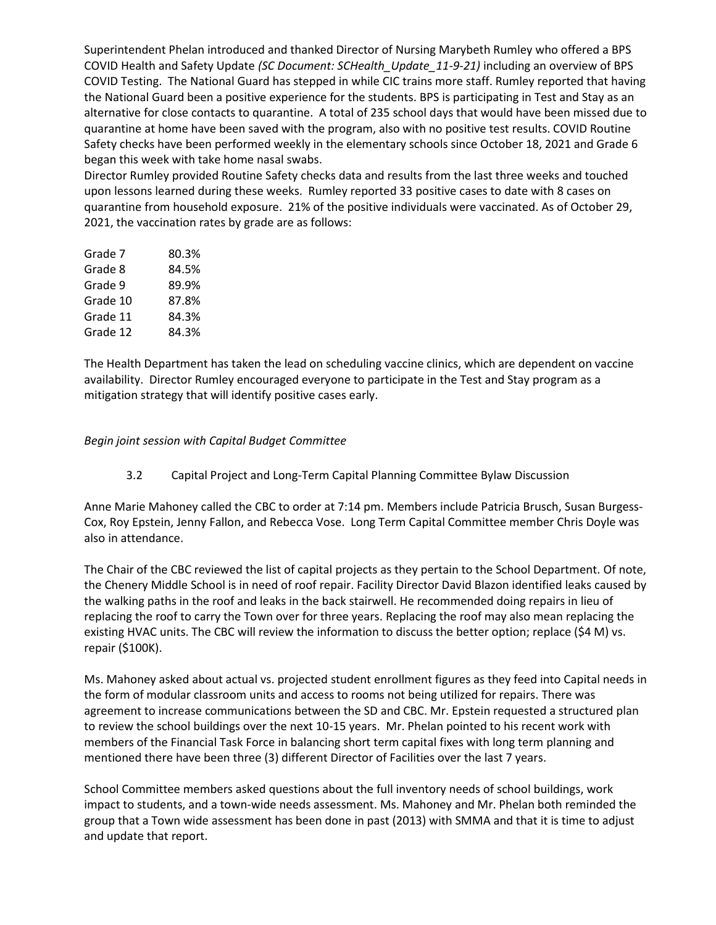Superintendent Phelan introduced and thanked Director of Nursing Marybeth Rumley who offered a BPS COVID Health and Safety Update *(SC Document: SCHealth\_Update\_11-9-21)* including an overview of BPS COVID Testing. The National Guard has stepped in while CIC trains more staff. Rumley reported that having the National Guard been a positive experience for the students. BPS is participating in Test and Stay as an alternative for close contacts to quarantine. A total of 235 school days that would have been missed due to quarantine at home have been saved with the program, also with no positive test results. COVID Routine Safety checks have been performed weekly in the elementary schools since October 18, 2021 and Grade 6 began this week with take home nasal swabs.

Director Rumley provided Routine Safety checks data and results from the last three weeks and touched upon lessons learned during these weeks. Rumley reported 33 positive cases to date with 8 cases on quarantine from household exposure. 21% of the positive individuals were vaccinated. As of October 29, 2021, the vaccination rates by grade are as follows:

| Grade 7  | 80.3% |
|----------|-------|
| Grade 8  | 84.5% |
| Grade 9  | 89.9% |
| Grade 10 | 87.8% |
| Grade 11 | 84.3% |
| Grade 12 | 84.3% |
|          |       |

The Health Department has taken the lead on scheduling vaccine clinics, which are dependent on vaccine availability. Director Rumley encouraged everyone to participate in the Test and Stay program as a mitigation strategy that will identify positive cases early.

#### *Begin joint session with Capital Budget Committee*

3.2 Capital Project and Long-Term Capital Planning Committee Bylaw Discussion

Anne Marie Mahoney called the CBC to order at 7:14 pm. Members include Patricia Brusch, Susan Burgess-Cox, Roy Epstein, Jenny Fallon, and Rebecca Vose. Long Term Capital Committee member Chris Doyle was also in attendance.

The Chair of the CBC reviewed the list of capital projects as they pertain to the School Department. Of note, the Chenery Middle School is in need of roof repair. Facility Director David Blazon identified leaks caused by the walking paths in the roof and leaks in the back stairwell. He recommended doing repairs in lieu of replacing the roof to carry the Town over for three years. Replacing the roof may also mean replacing the existing HVAC units. The CBC will review the information to discuss the better option; replace (\$4 M) vs. repair (\$100K).

Ms. Mahoney asked about actual vs. projected student enrollment figures as they feed into Capital needs in the form of modular classroom units and access to rooms not being utilized for repairs. There was agreement to increase communications between the SD and CBC. Mr. Epstein requested a structured plan to review the school buildings over the next 10-15 years. Mr. Phelan pointed to his recent work with members of the Financial Task Force in balancing short term capital fixes with long term planning and mentioned there have been three (3) different Director of Facilities over the last 7 years.

School Committee members asked questions about the full inventory needs of school buildings, work impact to students, and a town-wide needs assessment. Ms. Mahoney and Mr. Phelan both reminded the group that a Town wide assessment has been done in past (2013) with SMMA and that it is time to adjust and update that report.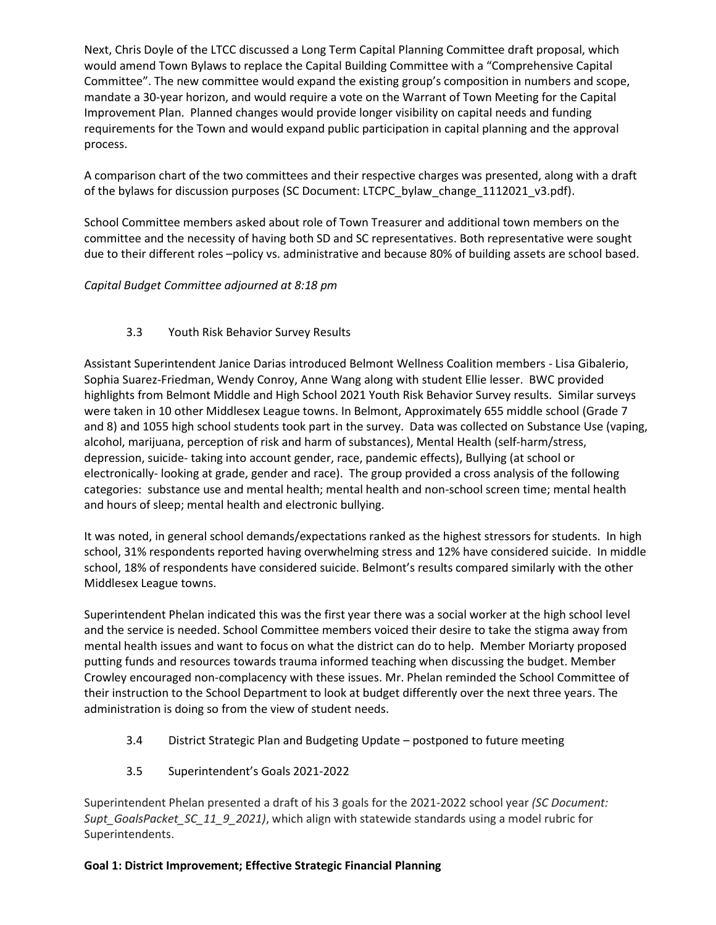Next, Chris Doyle of the LTCC discussed a Long Term Capital Planning Committee draft proposal, which would amend Town Bylaws to replace the Capital Building Committee with a "Comprehensive Capital Committee". The new committee would expand the existing group's composition in numbers and scope, mandate a 30-year horizon, and would require a vote on the Warrant of Town Meeting for the Capital Improvement Plan. Planned changes would provide longer visibility on capital needs and funding requirements for the Town and would expand public participation in capital planning and the approval process.

A comparison chart of the two committees and their respective charges was presented, along with a draft of the bylaws for discussion purposes (SC Document: LTCPC\_bylaw\_change\_1112021\_v3.pdf).

School Committee members asked about role of Town Treasurer and additional town members on the committee and the necessity of having both SD and SC representatives. Both representative were sought due to their different roles –policy vs. administrative and because 80% of building assets are school based.

## *Capital Budget Committee adjourned at 8:18 pm*

#### 3.3 Youth Risk Behavior Survey Results

Assistant Superintendent Janice Darias introduced Belmont Wellness Coalition members - Lisa Gibalerio, Sophia Suarez-Friedman, Wendy Conroy, Anne Wang along with student Ellie lesser. BWC provided highlights from Belmont Middle and High School 2021 Youth Risk Behavior Survey results. Similar surveys were taken in 10 other Middlesex League towns. In Belmont, Approximately 655 middle school (Grade 7 and 8) and 1055 high school students took part in the survey. Data was collected on Substance Use (vaping, alcohol, marijuana, perception of risk and harm of substances), Mental Health (self-harm/stress, depression, suicide- taking into account gender, race, pandemic effects), Bullying (at school or electronically- looking at grade, gender and race). The group provided a cross analysis of the following categories: substance use and mental health; mental health and non-school screen time; mental health and hours of sleep; mental health and electronic bullying.

It was noted, in general school demands/expectations ranked as the highest stressors for students. In high school, 31% respondents reported having overwhelming stress and 12% have considered suicide. In middle school, 18% of respondents have considered suicide. Belmont's results compared similarly with the other Middlesex League towns.

Superintendent Phelan indicated this was the first year there was a social worker at the high school level and the service is needed. School Committee members voiced their desire to take the stigma away from mental health issues and want to focus on what the district can do to help. Member Moriarty proposed putting funds and resources towards trauma informed teaching when discussing the budget. Member Crowley encouraged non-complacency with these issues. Mr. Phelan reminded the School Committee of their instruction to the School Department to look at budget differently over the next three years. The administration is doing so from the view of student needs.

- 3.4 District Strategic Plan and Budgeting Update postponed to future meeting
- 3.5 Superintendent's Goals 2021-2022

Superintendent Phelan presented a draft of his 3 goals for the 2021-2022 school year *(SC Document: Supt\_GoalsPacket\_SC\_11\_9\_2021)*, which align with statewide standards using a model rubric for Superintendents.

#### **Goal 1: District Improvement; Effective Strategic Financial Planning**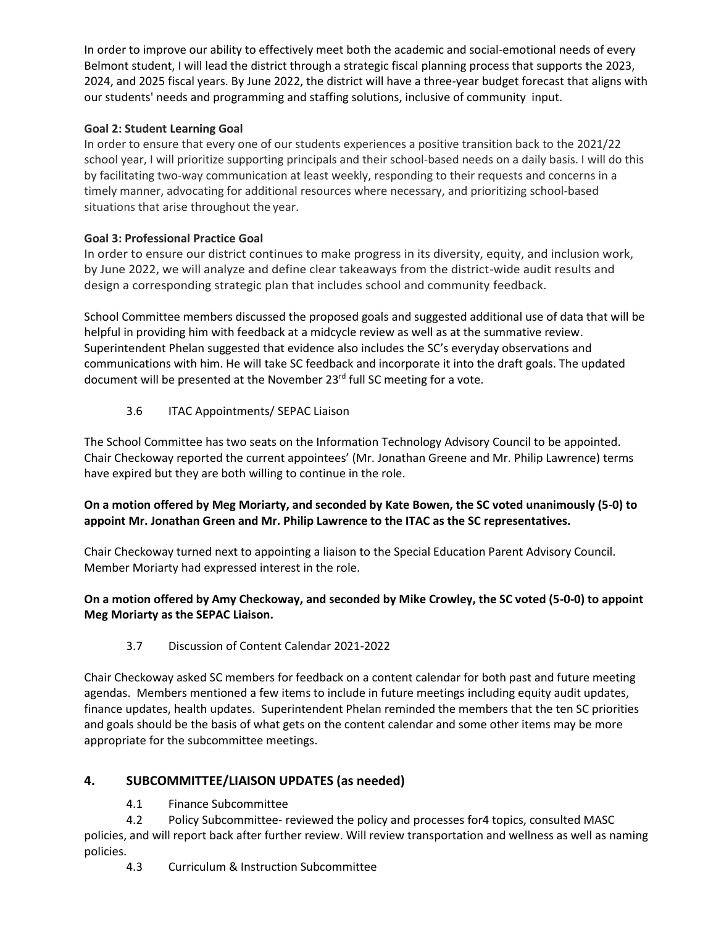In order to improve our ability to effectively meet both the academic and social-emotional needs of every Belmont student, I will lead the district through a strategic fiscal planning process that supports the 2023, 2024, and 2025 fiscal years. By June 2022, the district will have a three-year budget forecast that aligns with our students' needs and programming and staffing solutions, inclusive of community input.

## **Goal 2: Student Learning Goal**

In order to ensure that every one of our students experiences a positive transition back to the 2021/22 school year, I will prioritize supporting principals and their school-based needs on a daily basis. I will do this by facilitating two-way communication at least weekly, responding to their requests and concerns in a timely manner, advocating for additional resources where necessary, and prioritizing school-based situations that arise throughout the year.

## **Goal 3: Professional Practice Goal**

In order to ensure our district continues to make progress in its diversity, equity, and inclusion work, by June 2022, we will analyze and define clear takeaways from the district-wide audit results and design a corresponding strategic plan that includes school and community feedback.

School Committee members discussed the proposed goals and suggested additional use of data that will be helpful in providing him with feedback at a midcycle review as well as at the summative review. Superintendent Phelan suggested that evidence also includes the SC's everyday observations and communications with him. He will take SC feedback and incorporate it into the draft goals. The updated document will be presented at the November 23<sup>rd</sup> full SC meeting for a vote.

# 3.6 ITAC Appointments/ SEPAC Liaison

The School Committee has two seats on the Information Technology Advisory Council to be appointed. Chair Checkoway reported the current appointees' (Mr. Jonathan Greene and Mr. Philip Lawrence) terms have expired but they are both willing to continue in the role.

## **On a motion offered by Meg Moriarty, and seconded by Kate Bowen, the SC voted unanimously (5-0) to appoint Mr. Jonathan Green and Mr. Philip Lawrence to the ITAC as the SC representatives.**

Chair Checkoway turned next to appointing a liaison to the Special Education Parent Advisory Council. Member Moriarty had expressed interest in the role.

## **On a motion offered by Amy Checkoway, and seconded by Mike Crowley, the SC voted (5-0-0) to appoint Meg Moriarty as the SEPAC Liaison.**

# 3.7 Discussion of Content Calendar 2021-2022

Chair Checkoway asked SC members for feedback on a content calendar for both past and future meeting agendas. Members mentioned a few items to include in future meetings including equity audit updates, finance updates, health updates. Superintendent Phelan reminded the members that the ten SC priorities and goals should be the basis of what gets on the content calendar and some other items may be more appropriate for the subcommittee meetings.

# **4. SUBCOMMITTEE/LIAISON UPDATES (as needed)**

4.1 Finance Subcommittee

4.2 Policy Subcommittee- reviewed the policy and processes for4 topics, consulted MASC policies, and will report back after further review. Will review transportation and wellness as well as naming policies.

4.3 Curriculum & Instruction Subcommittee